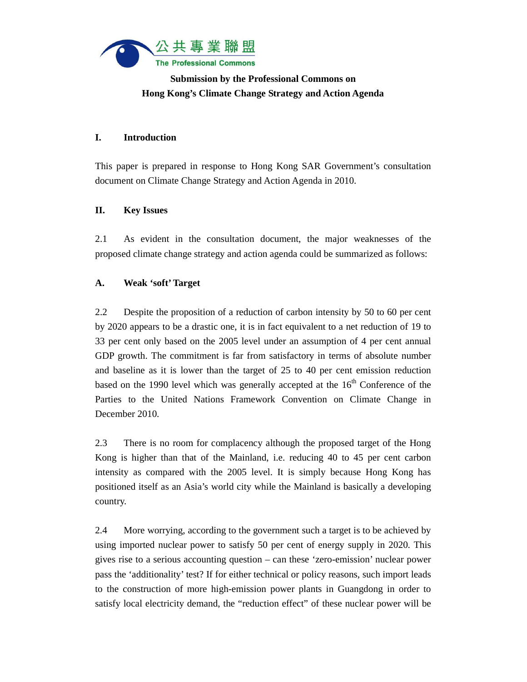

# **Submission by the Professional Commons on Hong Kong's Climate Change Strategy and Action Agenda**

## **I. Introduction**

This paper is prepared in response to Hong Kong SAR Government's consultation document on Climate Change Strategy and Action Agenda in 2010.

## **II. Key Issues**

2.1 As evident in the consultation document, the major weaknesses of the proposed climate change strategy and action agenda could be summarized as follows:

# **A. Weak 'soft' Target**

2.2 Despite the proposition of a reduction of carbon intensity by 50 to 60 per cent by 2020 appears to be a drastic one, it is in fact equivalent to a net reduction of 19 to 33 per cent only based on the 2005 level under an assumption of 4 per cent annual GDP growth. The commitment is far from satisfactory in terms of absolute number and baseline as it is lower than the target of 25 to 40 per cent emission reduction based on the 1990 level which was generally accepted at the  $16<sup>th</sup>$  Conference of the Parties to the United Nations Framework Convention on Climate Change in December 2010.

2.3 There is no room for complacency although the proposed target of the Hong Kong is higher than that of the Mainland, i.e. reducing 40 to 45 per cent carbon intensity as compared with the 2005 level. It is simply because Hong Kong has positioned itself as an Asia's world city while the Mainland is basically a developing country.

2.4 More worrying, according to the government such a target is to be achieved by using imported nuclear power to satisfy 50 per cent of energy supply in 2020. This gives rise to a serious accounting question – can these 'zero-emission' nuclear power pass the 'additionality' test? If for either technical or policy reasons, such import leads to the construction of more high-emission power plants in Guangdong in order to satisfy local electricity demand, the "reduction effect" of these nuclear power will be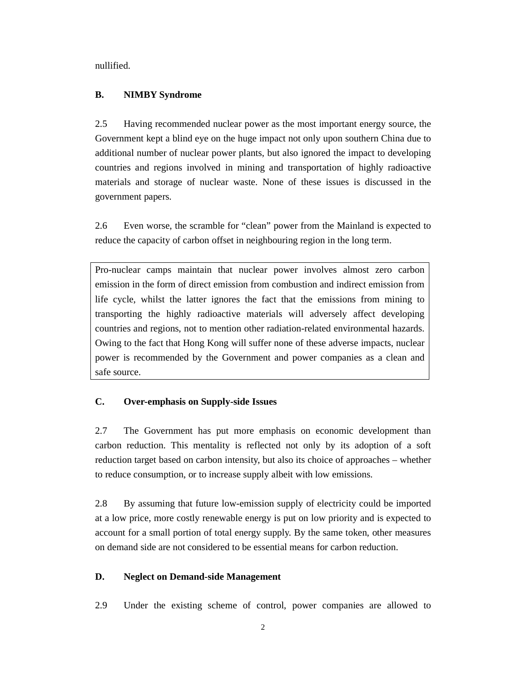nullified.

#### **B. NIMBY Syndrome**

2.5 Having recommended nuclear power as the most important energy source, the Government kept a blind eye on the huge impact not only upon southern China due to additional number of nuclear power plants, but also ignored the impact to developing countries and regions involved in mining and transportation of highly radioactive materials and storage of nuclear waste. None of these issues is discussed in the government papers.

2.6 Even worse, the scramble for "clean" power from the Mainland is expected to reduce the capacity of carbon offset in neighbouring region in the long term.

Pro-nuclear camps maintain that nuclear power involves almost zero carbon emission in the form of direct emission from combustion and indirect emission from life cycle, whilst the latter ignores the fact that the emissions from mining to transporting the highly radioactive materials will adversely affect developing countries and regions, not to mention other radiation-related environmental hazards. Owing to the fact that Hong Kong will suffer none of these adverse impacts, nuclear power is recommended by the Government and power companies as a clean and safe source.

### **C. Over-emphasis on Supply-side Issues**

2.7 The Government has put more emphasis on economic development than carbon reduction. This mentality is reflected not only by its adoption of a soft reduction target based on carbon intensity, but also its choice of approaches – whether to reduce consumption, or to increase supply albeit with low emissions.

2.8 By assuming that future low-emission supply of electricity could be imported at a low price, more costly renewable energy is put on low priority and is expected to account for a small portion of total energy supply. By the same token, other measures on demand side are not considered to be essential means for carbon reduction.

#### **D. Neglect on Demand-side Management**

2.9 Under the existing scheme of control, power companies are allowed to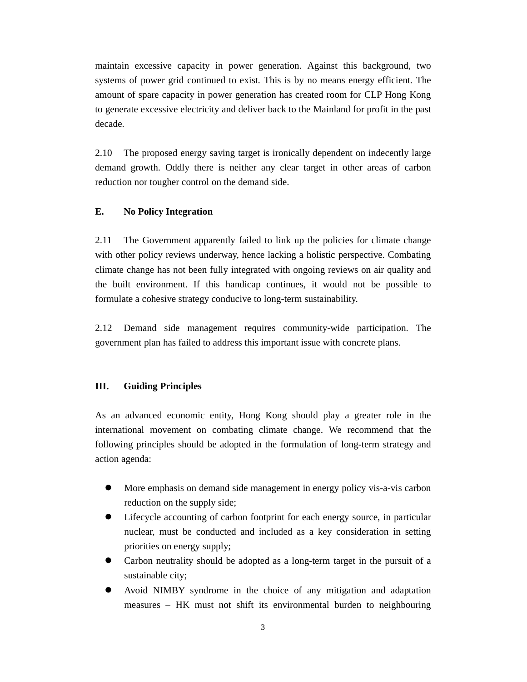maintain excessive capacity in power generation. Against this background, two systems of power grid continued to exist. This is by no means energy efficient. The amount of spare capacity in power generation has created room for CLP Hong Kong to generate excessive electricity and deliver back to the Mainland for profit in the past decade.

2.10 The proposed energy saving target is ironically dependent on indecently large demand growth. Oddly there is neither any clear target in other areas of carbon reduction nor tougher control on the demand side.

#### **E. No Policy Integration**

2.11 The Government apparently failed to link up the policies for climate change with other policy reviews underway, hence lacking a holistic perspective. Combating climate change has not been fully integrated with ongoing reviews on air quality and the built environment. If this handicap continues, it would not be possible to formulate a cohesive strategy conducive to long-term sustainability.

2.12 Demand side management requires community-wide participation. The government plan has failed to address this important issue with concrete plans.

## **III. Guiding Principles**

As an advanced economic entity, Hong Kong should play a greater role in the international movement on combating climate change. We recommend that the following principles should be adopted in the formulation of long-term strategy and action agenda:

- More emphasis on demand side management in energy policy vis-a-vis carbon reduction on the supply side;
- Lifecycle accounting of carbon footprint for each energy source, in particular nuclear, must be conducted and included as a key consideration in setting priorities on energy supply;
- Carbon neutrality should be adopted as a long-term target in the pursuit of a sustainable city;
- Avoid NIMBY syndrome in the choice of any mitigation and adaptation measures – HK must not shift its environmental burden to neighbouring